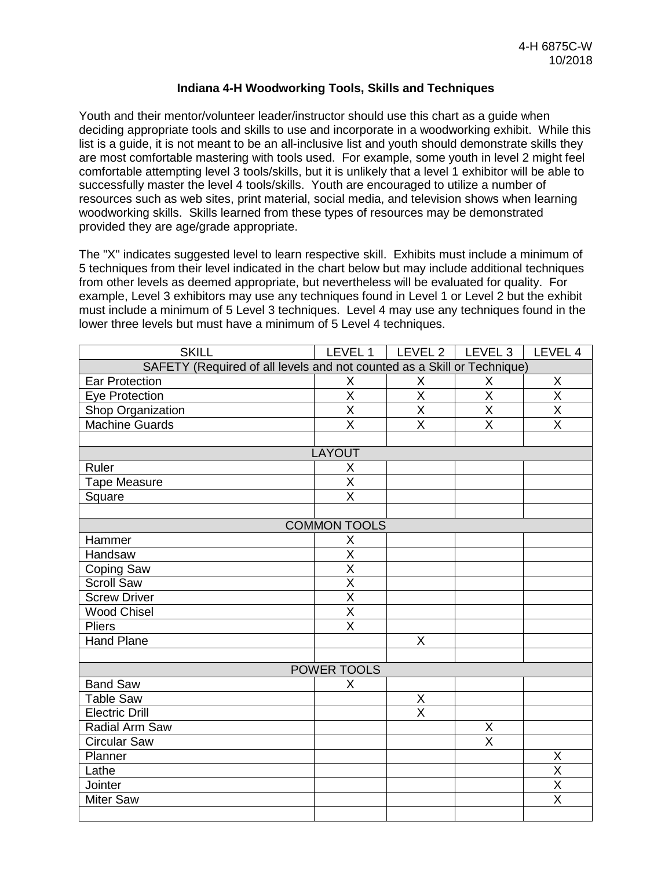## **Indiana 4-H Woodworking Tools, Skills and Techniques**

Youth and their mentor/volunteer leader/instructor should use this chart as a guide when deciding appropriate tools and skills to use and incorporate in a woodworking exhibit. While this list is a guide, it is not meant to be an all-inclusive list and youth should demonstrate skills they are most comfortable mastering with tools used. For example, some youth in level 2 might feel comfortable attempting level 3 tools/skills, but it is unlikely that a level 1 exhibitor will be able to successfully master the level 4 tools/skills. Youth are encouraged to utilize a number of resources such as web sites, print material, social media, and television shows when learning woodworking skills. Skills learned from these types of resources may be demonstrated provided they are age/grade appropriate.

The "X" indicates suggested level to learn respective skill. Exhibits must include a minimum of 5 techniques from their level indicated in the chart below but may include additional techniques from other levels as deemed appropriate, but nevertheless will be evaluated for quality. For example, Level 3 exhibitors may use any techniques found in Level 1 or Level 2 but the exhibit must include a minimum of 5 Level 3 techniques. Level 4 may use any techniques found in the lower three levels but must have a minimum of 5 Level 4 techniques.

| <b>SKILL</b>                                                            | LEVEL 1                 |                         | LEVEL 2   LEVEL 3       | LEVEL 4                 |  |  |  |
|-------------------------------------------------------------------------|-------------------------|-------------------------|-------------------------|-------------------------|--|--|--|
| SAFETY (Required of all levels and not counted as a Skill or Technique) |                         |                         |                         |                         |  |  |  |
| Ear Protection                                                          | Χ                       | Χ                       | X                       | X                       |  |  |  |
| <b>Eye Protection</b>                                                   | $\overline{\mathsf{x}}$ | $\overline{\mathsf{x}}$ | $\overline{\mathsf{x}}$ | $\overline{\mathsf{X}}$ |  |  |  |
| Shop Organization                                                       | $\overline{\mathsf{x}}$ | $\overline{\mathsf{x}}$ | $\overline{\sf x}$      | $\overline{\sf x}$      |  |  |  |
| <b>Machine Guards</b>                                                   | $\overline{\mathsf{x}}$ | $\overline{\mathsf{x}}$ | $\overline{\mathsf{x}}$ | $\overline{\mathsf{x}}$ |  |  |  |
|                                                                         |                         |                         |                         |                         |  |  |  |
| LAYOUT                                                                  |                         |                         |                         |                         |  |  |  |
| Ruler                                                                   | Χ                       |                         |                         |                         |  |  |  |
| <b>Tape Measure</b>                                                     | $\overline{\mathsf{x}}$ |                         |                         |                         |  |  |  |
| Square                                                                  | X                       |                         |                         |                         |  |  |  |
|                                                                         |                         |                         |                         |                         |  |  |  |
| <b>COMMON TOOLS</b>                                                     |                         |                         |                         |                         |  |  |  |
| Hammer                                                                  | Χ                       |                         |                         |                         |  |  |  |
| Handsaw                                                                 | $\overline{\sf x}$      |                         |                         |                         |  |  |  |
| Coping Saw                                                              | $\overline{\mathsf{x}}$ |                         |                         |                         |  |  |  |
| <b>Scroll Saw</b>                                                       | $\overline{\mathsf{x}}$ |                         |                         |                         |  |  |  |
| <b>Screw Driver</b>                                                     | $\overline{\mathsf{x}}$ |                         |                         |                         |  |  |  |
| <b>Wood Chisel</b>                                                      | $\overline{\mathsf{x}}$ |                         |                         |                         |  |  |  |
| <b>Pliers</b>                                                           | X                       |                         |                         |                         |  |  |  |
| <b>Hand Plane</b>                                                       |                         | X                       |                         |                         |  |  |  |
|                                                                         |                         |                         |                         |                         |  |  |  |
| POWER TOOLS                                                             |                         |                         |                         |                         |  |  |  |
| <b>Band Saw</b>                                                         | Χ                       |                         |                         |                         |  |  |  |
| <b>Table Saw</b>                                                        |                         | Χ                       |                         |                         |  |  |  |
| <b>Electric Drill</b>                                                   |                         | $\overline{\mathsf{x}}$ |                         |                         |  |  |  |
| Radial Arm Saw                                                          |                         |                         | Χ                       |                         |  |  |  |
| <b>Circular Saw</b>                                                     |                         |                         | $\overline{\mathsf{x}}$ |                         |  |  |  |
| Planner                                                                 |                         |                         |                         | X                       |  |  |  |
| Lathe                                                                   |                         |                         |                         | X                       |  |  |  |
| Jointer                                                                 |                         |                         |                         | $\overline{\mathsf{x}}$ |  |  |  |
| <b>Miter Saw</b>                                                        |                         |                         |                         | $\overline{\mathsf{X}}$ |  |  |  |
|                                                                         |                         |                         |                         |                         |  |  |  |